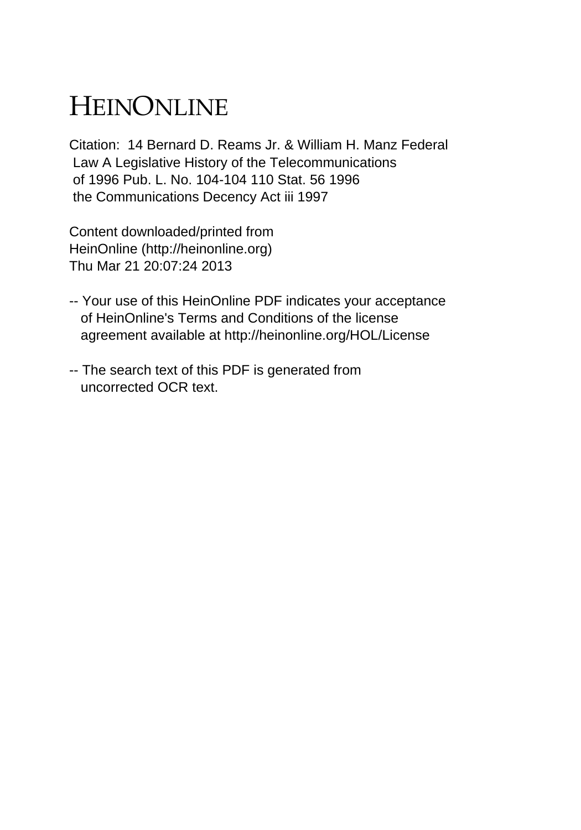## HEINONLINE

Citation: 14 Bernard D. Reams Jr. & William H. Manz Federal Law A Legislative History of the Telecommunications of 1996 Pub. L. No. 104-104 110 Stat. 56 1996 the Communications Decency Act iii 1997

Content downloaded/printed from HeinOnline (http://heinonline.org) Thu Mar 21 20:07:24 2013

- -- Your use of this HeinOnline PDF indicates your acceptance of HeinOnline's Terms and Conditions of the license agreement available at http://heinonline.org/HOL/License
- -- The search text of this PDF is generated from uncorrected OCR text.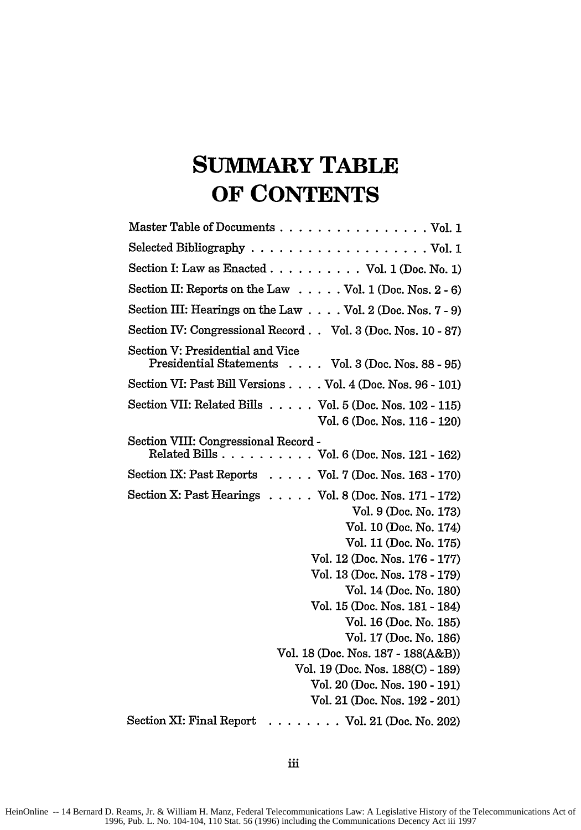## **SUMMARY TABLE OF CONTENTS**

| Master Table of Documents Vol. 1                                                        |
|-----------------------------------------------------------------------------------------|
|                                                                                         |
| Section I: Law as Enacted $\ldots \ldots \ldots \ldots$ Vol. 1 (Doc. No. 1)             |
| Section II: Reports on the Law $\dots$ . Vol. 1 (Doc. Nos. 2 - 6)                       |
| Section III: Hearings on the Law $\ldots$ Vol. 2 (Doc. Nos. 7 - 9)                      |
| Section IV: Congressional Record Vol. 3 (Doc. Nos. 10 - 87)                             |
| Section V: Presidential and Vice<br>Presidential Statements Vol. 3 (Doc. Nos. 88 - 95)  |
| Section VI: Past Bill Versions Vol. 4 (Doc. Nos. 96 - 101)                              |
| Section VII: Related Bills Vol. 5 (Doc. Nos. 102 - 115)<br>Vol. 6 (Doc. Nos. 116 - 120) |
| Section VIII: Congressional Record -<br>Related Bills Vol. 6 (Doc. Nos. 121 - 162)      |
| Section IX: Past Reports Vol. 7 (Doc. Nos. 163 - 170)                                   |
| Section X: Past Hearings Vol. 8 (Doc. Nos. 171 - 172)                                   |
| Vol. 9 (Doc. No. 173)                                                                   |
| Vol. 10 (Doc. No. 174)                                                                  |
| Vol. 11 (Doc. No. 175)                                                                  |
| Vol. 12 (Doc. Nos. 176 - 177)                                                           |
| Vol. 13 (Doc. Nos. 178 - 179)                                                           |
| Vol. 14 (Doc. No. 180)                                                                  |
| Vol. 15 (Doc. Nos. 181 - 184)                                                           |
| Vol. 16 (Doc. No. 185)                                                                  |
| Vol. 17 (Doc. No. 186)                                                                  |
| Vol. 18 (Doc. Nos. 187 - 188(A&B))                                                      |
| Vol. 19 (Doc. Nos. 188(C) - 189)                                                        |
| Vol. 20 (Doc. Nos. 190 - 191)                                                           |
| Vol. 21 (Doc. Nos. 192 - 201)                                                           |
| Section XI: Final Report<br>$\cdots \cdots \cdots$ Vol. 21 (Doc. No. 202)               |